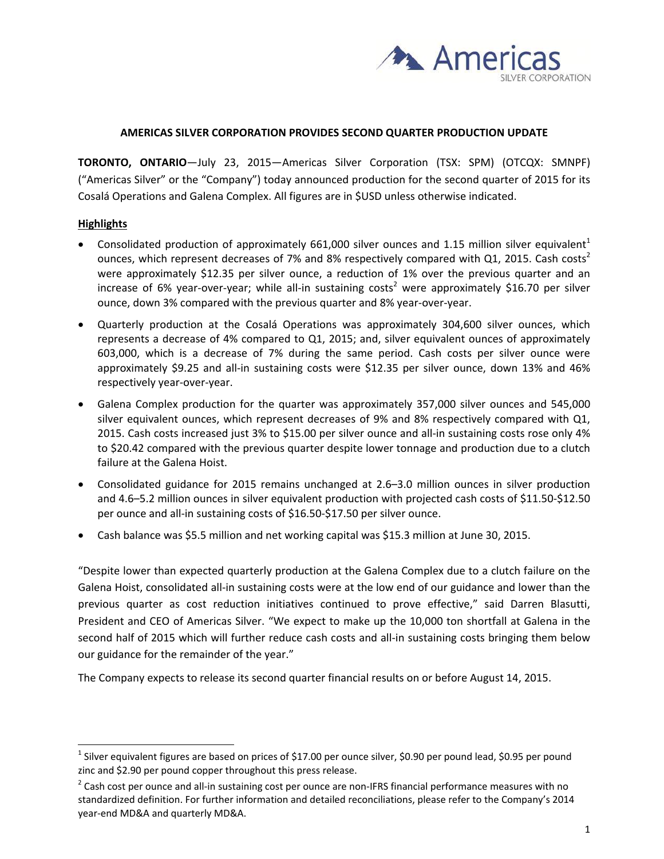

#### **AMERICAS SILVER CORPORATION PROVIDES SECOND QUARTER PRODUCTION UPDATE**

**TORONTO, ONTARIO**—July 23, 2015—Americas Silver Corporation (TSX: SPM) (OTCQX: SMNPF) ("Americas Silver" or the "Company") today announced production for the second quarter of 2015 for its Cosalá Operations and Galena Complex. All figures are in \$USD unless otherwise indicated.

### **Highlights**

-

- Consolidated production of approximately 661,000 silver ounces and 1.15 million silver equivalent<sup>1</sup> ounces, which represent decreases of 7% and 8% respectively compared with Q1, 2015. Cash costs<sup>2</sup> were approximately \$12.35 per silver ounce, a reduction of 1% over the previous quarter and an increase of 6% year-over-year; while all-in sustaining costs<sup>2</sup> were approximately \$16.70 per silver ounce, down 3% compared with the previous quarter and 8% year‐over‐year.
- Quarterly production at the Cosalá Operations was approximately 304,600 silver ounces, which represents a decrease of 4% compared to Q1, 2015; and, silver equivalent ounces of approximately 603,000, which is a decrease of 7% during the same period. Cash costs per silver ounce were approximately \$9.25 and all‐in sustaining costs were \$12.35 per silver ounce, down 13% and 46% respectively year‐over‐year.
- Galena Complex production for the quarter was approximately 357,000 silver ounces and 545,000 silver equivalent ounces, which represent decreases of 9% and 8% respectively compared with Q1, 2015. Cash costs increased just 3% to \$15.00 per silver ounce and all‐in sustaining costs rose only 4% to \$20.42 compared with the previous quarter despite lower tonnage and production due to a clutch failure at the Galena Hoist.
- Consolidated guidance for 2015 remains unchanged at 2.6–3.0 million ounces in silver production and 4.6–5.2 million ounces in silver equivalent production with projected cash costs of \$11.50‐\$12.50 per ounce and all-in sustaining costs of \$16.50-\$17.50 per silver ounce.
- Cash balance was \$5.5 million and net working capital was \$15.3 million at June 30, 2015.

"Despite lower than expected quarterly production at the Galena Complex due to a clutch failure on the Galena Hoist, consolidated all-in sustaining costs were at the low end of our guidance and lower than the previous quarter as cost reduction initiatives continued to prove effective," said Darren Blasutti, President and CEO of Americas Silver. "We expect to make up the 10,000 ton shortfall at Galena in the second half of 2015 which will further reduce cash costs and all-in sustaining costs bringing them below our guidance for the remainder of the year."

The Company expects to release its second quarter financial results on or before August 14, 2015.

<sup>&</sup>lt;sup>1</sup> Silver equivalent figures are based on prices of \$17.00 per ounce silver, \$0.90 per pound lead, \$0.95 per pound zinc and \$2.90 per pound copper throughout this press release.

 $2$  Cash cost per ounce and all-in sustaining cost per ounce are non-IFRS financial performance measures with no standardized definition. For further information and detailed reconciliations, please refer to the Company's 2014 year‐end MD&A and quarterly MD&A.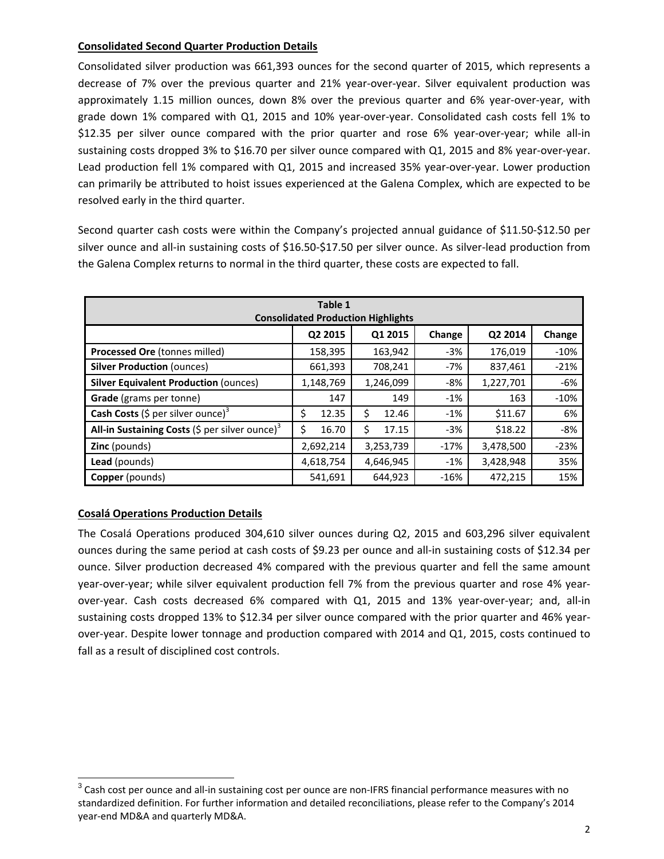## **Consolidated Second Quarter Production Details**

Consolidated silver production was 661,393 ounces for the second quarter of 2015, which represents a decrease of 7% over the previous quarter and 21% year‐over‐year. Silver equivalent production was approximately 1.15 million ounces, down 8% over the previous quarter and 6% year‐over‐year, with grade down 1% compared with Q1, 2015 and 10% year-over-year. Consolidated cash costs fell 1% to \$12.35 per silver ounce compared with the prior quarter and rose 6% year-over-year; while all-in sustaining costs dropped 3% to \$16.70 per silver ounce compared with Q1, 2015 and 8% year-over-year. Lead production fell 1% compared with Q1, 2015 and increased 35% year-over-year. Lower production can primarily be attributed to hoist issues experienced at the Galena Complex, which are expected to be resolved early in the third quarter.

Second quarter cash costs were within the Company's projected annual guidance of \$11.50‐\$12.50 per silver ounce and all-in sustaining costs of \$16.50-\$17.50 per silver ounce. As silver-lead production from the Galena Complex returns to normal in the third quarter, these costs are expected to fall.

| Table 1<br><b>Consolidated Production Highlights</b>       |             |             |        |           |        |
|------------------------------------------------------------|-------------|-------------|--------|-----------|--------|
|                                                            | Q2 2015     | Q1 2015     | Change | Q2 2014   | Change |
| Processed Ore (tonnes milled)                              | 158,395     | 163,942     | $-3%$  | 176,019   | $-10%$ |
| <b>Silver Production (ounces)</b>                          | 661,393     | 708,241     | -7%    | 837,461   | $-21%$ |
| <b>Silver Equivalent Production (ounces)</b>               | 1,148,769   | 1,246,099   | -8%    | 1,227,701 | -6%    |
| Grade (grams per tonne)                                    | 147         | 149         | $-1%$  | 163       | $-10%$ |
| <b>Cash Costs</b> (\$ per silver ounce) <sup>3</sup>       | \$<br>12.35 | \$<br>12.46 | $-1%$  | \$11.67   | 6%     |
| All-in Sustaining Costs (\$ per silver ounce) <sup>3</sup> | 16.70       | \$<br>17.15 | $-3%$  | \$18.22   | -8%    |
| <b>Zinc</b> (pounds)                                       | 2,692,214   | 3,253,739   | $-17%$ | 3,478,500 | $-23%$ |
| Lead (pounds)                                              | 4,618,754   | 4,646,945   | $-1\%$ | 3,428,948 | 35%    |
| <b>Copper</b> (pounds)                                     | 541,691     | 644,923     | $-16%$ | 472,215   | 15%    |

# **Cosalá Operations Production Details**

The Cosalá Operations produced 304,610 silver ounces during Q2, 2015 and 603,296 silver equivalent ounces during the same period at cash costs of \$9.23 per ounce and all‐in sustaining costs of \$12.34 per ounce. Silver production decreased 4% compared with the previous quarter and fell the same amount year-over-year; while silver equivalent production fell 7% from the previous quarter and rose 4% yearover-year. Cash costs decreased 6% compared with Q1, 2015 and 13% year-over-year; and, all-in sustaining costs dropped 13% to \$12.34 per silver ounce compared with the prior quarter and 46% yearover-year. Despite lower tonnage and production compared with 2014 and Q1, 2015, costs continued to fall as a result of disciplined cost controls.

<sup>&</sup>lt;sup>3</sup> Cash cost per ounce and all-in sustaining cost per ounce are non-IFRS financial performance measures with no standardized definition. For further information and detailed reconciliations, please refer to the Company's 2014 year‐end MD&A and quarterly MD&A.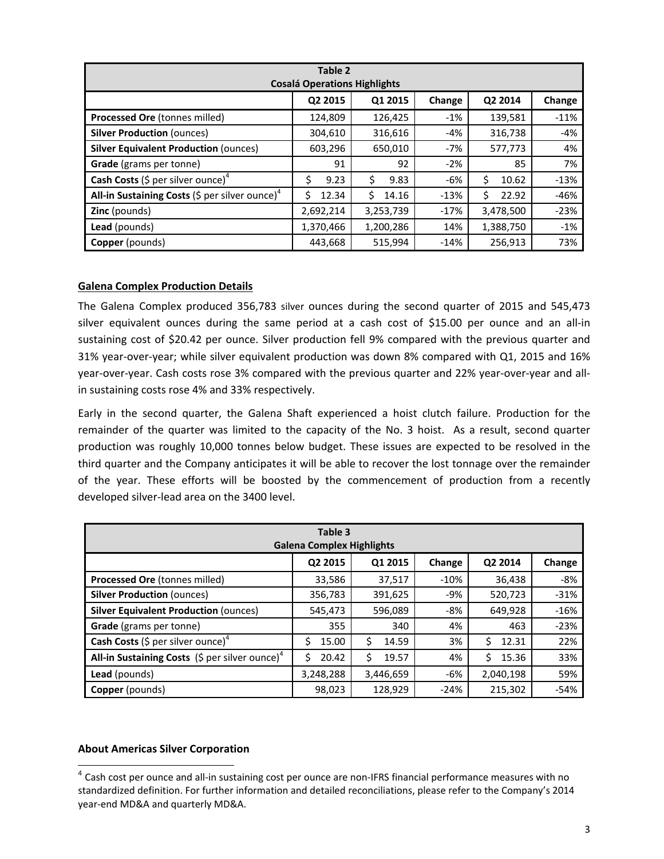| Table 2<br><b>Cosalá Operations Highlights</b>             |            |             |        |              |        |
|------------------------------------------------------------|------------|-------------|--------|--------------|--------|
|                                                            | Q2 2015    | Q1 2015     | Change | Q2 2014      | Change |
| Processed Ore (tonnes milled)                              | 124,809    | 126,425     | $-1%$  | 139,581      | $-11%$ |
| <b>Silver Production (ounces)</b>                          | 304,610    | 316,616     | -4%    | 316,738      | -4%    |
| <b>Silver Equivalent Production (ounces)</b>               | 603,296    | 650,010     | -7%    | 577,773      | 4%     |
| Grade (grams per tonne)                                    | 91         | 92          | $-2%$  | 85           | 7%     |
| <b>Cash Costs</b> (\$ per silver ounce) <sup>4</sup>       | \$<br>9.23 | Ś<br>9.83   | $-6%$  | \$<br>10.62  | $-13%$ |
| All-in Sustaining Costs (\$ per silver ounce) <sup>4</sup> | Ś<br>12.34 | Ś.<br>14.16 | $-13%$ | \$.<br>22.92 | $-46%$ |
| <b>Zinc</b> (pounds)                                       | 2,692,214  | 3,253,739   | $-17%$ | 3,478,500    | $-23%$ |
| Lead (pounds)                                              | 1,370,466  | 1,200,286   | 14%    | 1,388,750    | $-1%$  |
| <b>Copper</b> (pounds)                                     | 443,668    | 515,994     | $-14%$ | 256,913      | 73%    |

## **Galena Complex Production Details**

The Galena Complex produced 356,783 silver ounces during the second quarter of 2015 and 545,473 silver equivalent ounces during the same period at a cash cost of \$15.00 per ounce and an all-in sustaining cost of \$20.42 per ounce. Silver production fell 9% compared with the previous quarter and 31% year-over-year; while silver equivalent production was down 8% compared with Q1, 2015 and 16% year-over-year. Cash costs rose 3% compared with the previous quarter and 22% year-over-year and allin sustaining costs rose 4% and 33% respectively.

Early in the second quarter, the Galena Shaft experienced a hoist clutch failure. Production for the remainder of the quarter was limited to the capacity of the No. 3 hoist. As a result, second quarter production was roughly 10,000 tonnes below budget. These issues are expected to be resolved in the third quarter and the Company anticipates it will be able to recover the lost tonnage over the remainder of the year. These efforts will be boosted by the commencement of production from a recently developed silver‐lead area on the 3400 level.

| Table 3<br><b>Galena Complex Highlights</b>                |            |              |        |            |        |
|------------------------------------------------------------|------------|--------------|--------|------------|--------|
|                                                            | Q2 2015    | Q1 2015      | Change | Q2 2014    | Change |
| Processed Ore (tonnes milled)                              | 33,586     | 37,517       | $-10%$ | 36,438     | $-8%$  |
| <b>Silver Production (ounces)</b>                          | 356,783    | 391,625      | -9%    | 520,723    | $-31%$ |
| <b>Silver Equivalent Production (ounces)</b>               | 545,473    | 596,089      | -8%    | 649,928    | $-16%$ |
| Grade (grams per tonne)                                    | 355        | 340          | 4%     | 463        | $-23%$ |
| <b>Cash Costs</b> (\$ per silver ounce) <sup>4</sup>       | 15.00<br>Ś | 14.59<br>\$. | 3%     | Ś<br>12.31 | 22%    |
| All-in Sustaining Costs (\$ per silver ounce) <sup>4</sup> | 20.42<br>Ś | \$<br>19.57  | 4%     | Ś<br>15.36 | 33%    |
| Lead (pounds)                                              | 3,248,288  | 3,446,659    | -6%    | 2,040,198  | 59%    |
| <b>Copper</b> (pounds)                                     | 98,023     | 128,929      | $-24%$ | 215,302    | $-54%$ |

### **About Americas Silver Corporation**

 $\overline{a}$ 

<sup>&</sup>lt;sup>4</sup> Cash cost per ounce and all-in sustaining cost per ounce are non-IFRS financial performance measures with no standardized definition. For further information and detailed reconciliations, please refer to the Company's 2014 year‐end MD&A and quarterly MD&A.